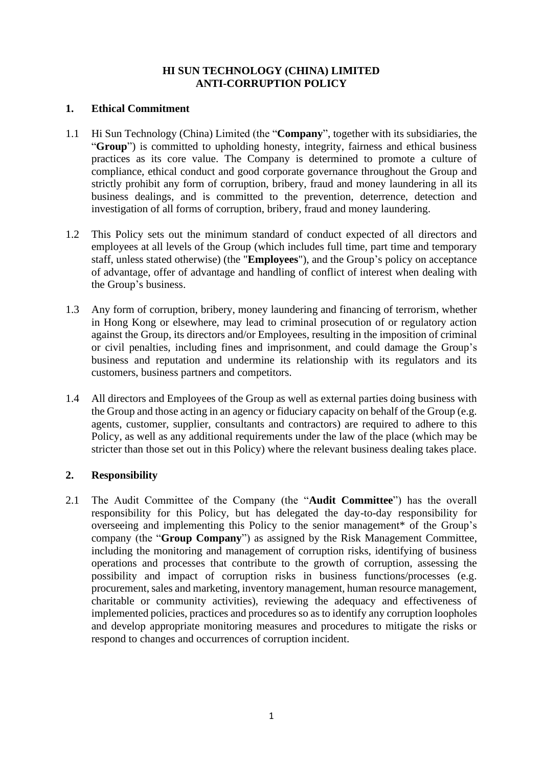### **HI SUN TECHNOLOGY (CHINA) LIMITED ANTI-CORRUPTION POLICY**

#### **1. Ethical Commitment**

- 1.1 Hi Sun Technology (China) Limited (the "**Company**", together with its subsidiaries, the "**Group**") is committed to upholding honesty, integrity, fairness and ethical business practices as its core value. The Company is determined to promote a culture of compliance, ethical conduct and good corporate governance throughout the Group and strictly prohibit any form of corruption, bribery, fraud and money laundering in all its business dealings, and is committed to the prevention, deterrence, detection and investigation of all forms of corruption, bribery, fraud and money laundering.
- 1.2 This Policy sets out the minimum standard of conduct expected of all directors and employees at all levels of the Group (which includes full time, part time and temporary staff, unless stated otherwise) (the "**Employees**"), and the Group's policy on acceptance of advantage, offer of advantage and handling of conflict of interest when dealing with the Group's business.
- 1.3 Any form of corruption, bribery, money laundering and financing of terrorism, whether in Hong Kong or elsewhere, may lead to criminal prosecution of or regulatory action against the Group, its directors and/or Employees, resulting in the imposition of criminal or civil penalties, including fines and imprisonment, and could damage the Group's business and reputation and undermine its relationship with its regulators and its customers, business partners and competitors.
- 1.4 All directors and Employees of the Group as well as external parties doing business with the Group and those acting in an agency or fiduciary capacity on behalf of the Group (e.g. agents, customer, supplier, consultants and contractors) are required to adhere to this Policy, as well as any additional requirements under the law of the place (which may be stricter than those set out in this Policy) where the relevant business dealing takes place.

# **2. Responsibility**

2.1 The Audit Committee of the Company (the "**Audit Committee**") has the overall responsibility for this Policy, but has delegated the day-to-day responsibility for overseeing and implementing this Policy to the senior management\* of the Group's company (the "**Group Company**") as assigned by the Risk Management Committee, including the monitoring and management of corruption risks, identifying of business operations and processes that contribute to the growth of corruption, assessing the possibility and impact of corruption risks in business functions/processes (e.g. procurement, sales and marketing, inventory management, human resource management, charitable or community activities), reviewing the adequacy and effectiveness of implemented policies, practices and procedures so as to identify any corruption loopholes and develop appropriate monitoring measures and procedures to mitigate the risks or respond to changes and occurrences of corruption incident.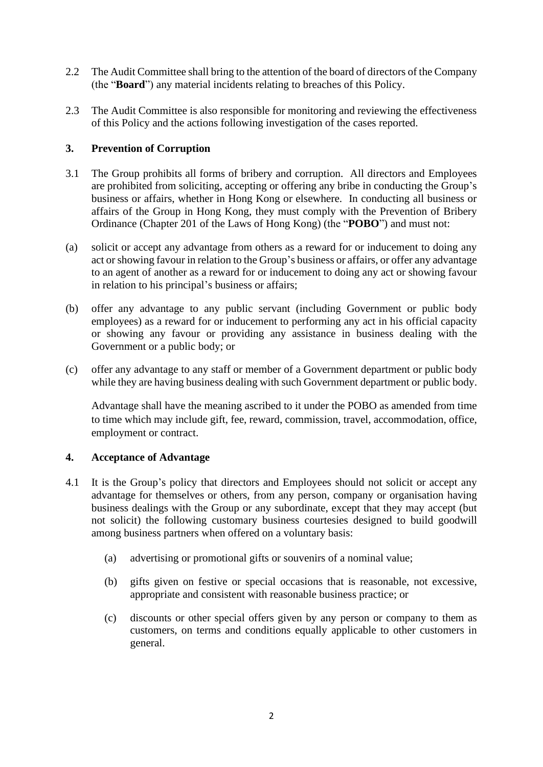- 2.2 The Audit Committee shall bring to the attention of the board of directors of the Company (the "**Board**") any material incidents relating to breaches of this Policy.
- 2.3 The Audit Committee is also responsible for monitoring and reviewing the effectiveness of this Policy and the actions following investigation of the cases reported.

## **3. Prevention of Corruption**

- 3.1 The Group prohibits all forms of bribery and corruption. All directors and Employees are prohibited from soliciting, accepting or offering any bribe in conducting the Group's business or affairs, whether in Hong Kong or elsewhere. In conducting all business or affairs of the Group in Hong Kong, they must comply with the Prevention of Bribery Ordinance (Chapter 201 of the Laws of Hong Kong) (the "**POBO**") and must not:
- (a) solicit or accept any advantage from others as a reward for or inducement to doing any act or showing favour in relation to the Group's business or affairs, or offer any advantage to an agent of another as a reward for or inducement to doing any act or showing favour in relation to his principal's business or affairs;
- (b) offer any advantage to any public servant (including Government or public body employees) as a reward for or inducement to performing any act in his official capacity or showing any favour or providing any assistance in business dealing with the Government or a public body; or
- (c) offer any advantage to any staff or member of a Government department or public body while they are having business dealing with such Government department or public body.

Advantage shall have the meaning ascribed to it under the POBO as amended from time to time which may include gift, fee, reward, commission, travel, accommodation, office, employment or contract.

## **4. Acceptance of Advantage**

- 4.1 It is the Group's policy that directors and Employees should not solicit or accept any advantage for themselves or others, from any person, company or organisation having business dealings with the Group or any subordinate, except that they may accept (but not solicit) the following customary business courtesies designed to build goodwill among business partners when offered on a voluntary basis:
	- (a) advertising or promotional gifts or souvenirs of a nominal value;
	- (b) gifts given on festive or special occasions that is reasonable, not excessive, appropriate and consistent with reasonable business practice; or
	- (c) discounts or other special offers given by any person or company to them as customers, on terms and conditions equally applicable to other customers in general.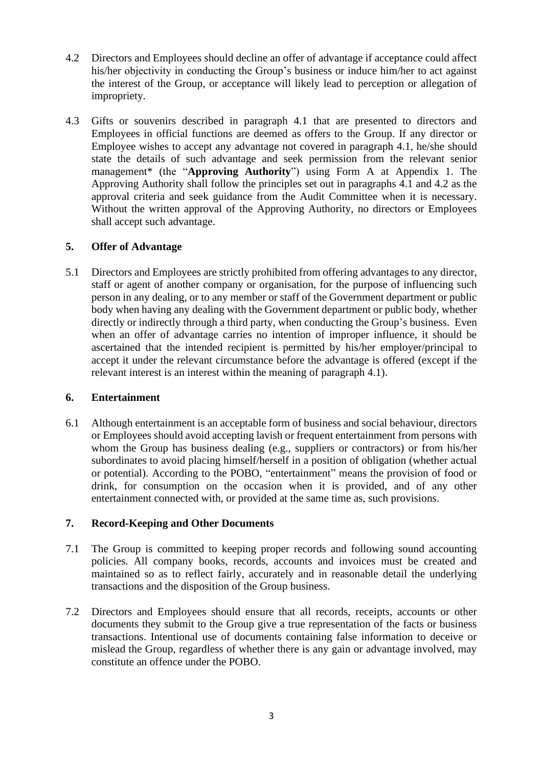- 4.2 Directors and Employees should decline an offer of advantage if acceptance could affect his/her objectivity in conducting the Group's business or induce him/her to act against the interest of the Group, or acceptance will likely lead to perception or allegation of impropriety.
- 4.3 Gifts or souvenirs described in paragraph 4.1 that are presented to directors and Employees in official functions are deemed as offers to the Group. If any director or Employee wishes to accept any advantage not covered in paragraph 4.1, he/she should state the details of such advantage and seek permission from the relevant senior management\* (the "**Approving Authority**") using Form A at Appendix 1. The Approving Authority shall follow the principles set out in paragraphs 4.1 and 4.2 as the approval criteria and seek guidance from the Audit Committee when it is necessary. Without the written approval of the Approving Authority, no directors or Employees shall accept such advantage.

# **5. Offer of Advantage**

5.1 Directors and Employees are strictly prohibited from offering advantages to any director, staff or agent of another company or organisation, for the purpose of influencing such person in any dealing, or to any member or staff of the Government department or public body when having any dealing with the Government department or public body, whether directly or indirectly through a third party, when conducting the Group's business. Even when an offer of advantage carries no intention of improper influence, it should be ascertained that the intended recipient is permitted by his/her employer/principal to accept it under the relevant circumstance before the advantage is offered (except if the relevant interest is an interest within the meaning of paragraph 4.1).

## **6. Entertainment**

6.1 Although entertainment is an acceptable form of business and social behaviour, directors or Employees should avoid accepting lavish or frequent entertainment from persons with whom the Group has business dealing (e.g., suppliers or contractors) or from his/her subordinates to avoid placing himself/herself in a position of obligation (whether actual or potential). According to the POBO, "entertainment" means the provision of food or drink, for consumption on the occasion when it is provided, and of any other entertainment connected with, or provided at the same time as, such provisions.

# **7. Record-Keeping and Other Documents**

- 7.1 The Group is committed to keeping proper records and following sound accounting policies. All company books, records, accounts and invoices must be created and maintained so as to reflect fairly, accurately and in reasonable detail the underlying transactions and the disposition of the Group business.
- 7.2 Directors and Employees should ensure that all records, receipts, accounts or other documents they submit to the Group give a true representation of the facts or business transactions. Intentional use of documents containing false information to deceive or mislead the Group, regardless of whether there is any gain or advantage involved, may constitute an offence under the POBO.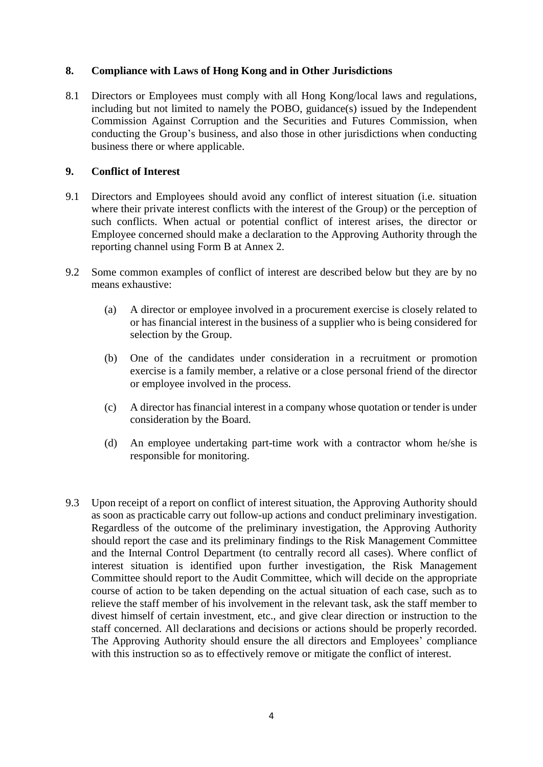## **8. Compliance with Laws of Hong Kong and in Other Jurisdictions**

8.1 Directors or Employees must comply with all Hong Kong/local laws and regulations, including but not limited to namely the POBO, guidance(s) issued by the Independent Commission Against Corruption and the Securities and Futures Commission, when conducting the Group's business, and also those in other jurisdictions when conducting business there or where applicable.

#### **9. Conflict of Interest**

- 9.1 Directors and Employees should avoid any conflict of interest situation (i.e. situation where their private interest conflicts with the interest of the Group) or the perception of such conflicts. When actual or potential conflict of interest arises, the director or Employee concerned should make a declaration to the Approving Authority through the reporting channel using Form B at Annex 2.
- 9.2 Some common examples of conflict of interest are described below but they are by no means exhaustive:
	- (a) A director or employee involved in a procurement exercise is closely related to or has financial interest in the business of a supplier who is being considered for selection by the Group.
	- (b) One of the candidates under consideration in a recruitment or promotion exercise is a family member, a relative or a close personal friend of the director or employee involved in the process.
	- (c) A director has financial interest in a company whose quotation or tender is under consideration by the Board.
	- (d) An employee undertaking part-time work with a contractor whom he/she is responsible for monitoring.
- 9.3 Upon receipt of a report on conflict of interest situation, the Approving Authority should as soon as practicable carry out follow-up actions and conduct preliminary investigation. Regardless of the outcome of the preliminary investigation, the Approving Authority should report the case and its preliminary findings to the Risk Management Committee and the Internal Control Department (to centrally record all cases). Where conflict of interest situation is identified upon further investigation, the Risk Management Committee should report to the Audit Committee, which will decide on the appropriate course of action to be taken depending on the actual situation of each case, such as to relieve the staff member of his involvement in the relevant task, ask the staff member to divest himself of certain investment, etc., and give clear direction or instruction to the staff concerned. All declarations and decisions or actions should be properly recorded. The Approving Authority should ensure the all directors and Employees' compliance with this instruction so as to effectively remove or mitigate the conflict of interest.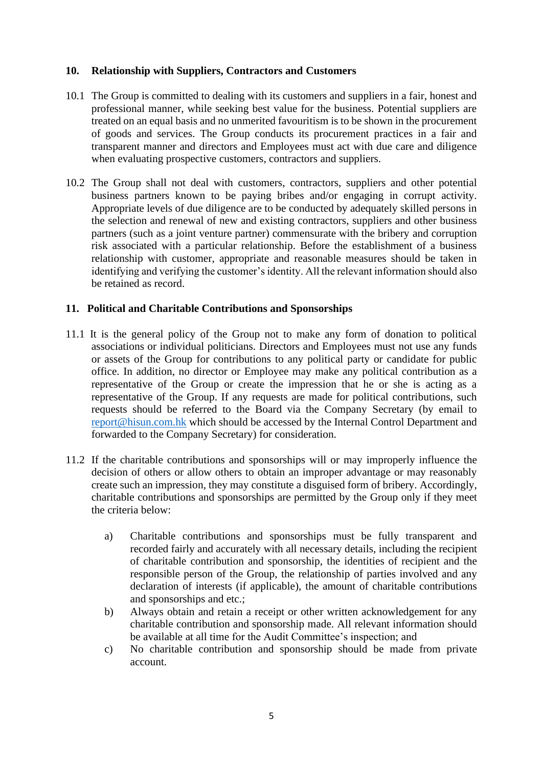### **10. Relationship with Suppliers, Contractors and Customers**

- 10.1 The Group is committed to dealing with its customers and suppliers in a fair, honest and professional manner, while seeking best value for the business. Potential suppliers are treated on an equal basis and no unmerited favouritism is to be shown in the procurement of goods and services. The Group conducts its procurement practices in a fair and transparent manner and directors and Employees must act with due care and diligence when evaluating prospective customers, contractors and suppliers.
- 10.2 The Group shall not deal with customers, contractors, suppliers and other potential business partners known to be paying bribes and/or engaging in corrupt activity. Appropriate levels of due diligence are to be conducted by adequately skilled persons in the selection and renewal of new and existing contractors, suppliers and other business partners (such as a joint venture partner) commensurate with the bribery and corruption risk associated with a particular relationship. Before the establishment of a business relationship with customer, appropriate and reasonable measures should be taken in identifying and verifying the customer's identity. All the relevant information should also be retained as record.

#### **11. Political and Charitable Contributions and Sponsorships**

- 11.1 It is the general policy of the Group not to make any form of donation to political associations or individual politicians. Directors and Employees must not use any funds or assets of the Group for contributions to any political party or candidate for public office. In addition, no director or Employee may make any political contribution as a representative of the Group or create the impression that he or she is acting as a representative of the Group. If any requests are made for political contributions, such requests should be referred to the Board via the Company Secretary (by email to [report@hisun.com.hk](mailto:report@hisun.com.hk) which should be accessed by the Internal Control Department and forwarded to the Company Secretary) for consideration.
- 11.2 If the charitable contributions and sponsorships will or may improperly influence the decision of others or allow others to obtain an improper advantage or may reasonably create such an impression, they may constitute a disguised form of bribery. Accordingly, charitable contributions and sponsorships are permitted by the Group only if they meet the criteria below:
	- a) Charitable contributions and sponsorships must be fully transparent and recorded fairly and accurately with all necessary details, including the recipient of charitable contribution and sponsorship, the identities of recipient and the responsible person of the Group, the relationship of parties involved and any declaration of interests (if applicable), the amount of charitable contributions and sponsorships and etc.;
	- b) Always obtain and retain a receipt or other written acknowledgement for any charitable contribution and sponsorship made. All relevant information should be available at all time for the Audit Committee's inspection; and
	- c) No charitable contribution and sponsorship should be made from private account.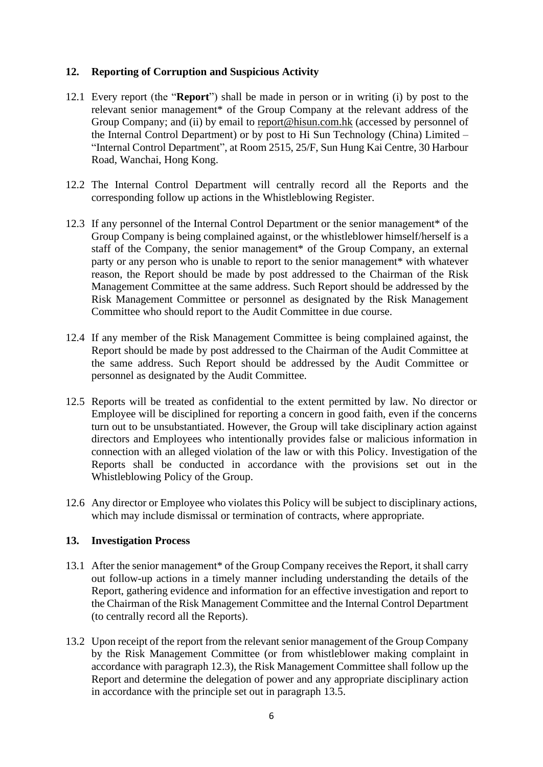#### **12. Reporting of Corruption and Suspicious Activity**

- 12.1 Every report (the "**Report**") shall be made in person or in writing (i) by post to the relevant senior management\* of the Group Company at the relevant address of the Group Company; and (ii) by email to report@hisun.com.hk (accessed by personnel of the Internal Control Department) or by post to Hi Sun Technology (China) Limited – "Internal Control Department", at Room 2515, 25/F, Sun Hung Kai Centre, 30 Harbour Road, Wanchai, Hong Kong.
- 12.2 The Internal Control Department will centrally record all the Reports and the corresponding follow up actions in the Whistleblowing Register.
- 12.3 If any personnel of the Internal Control Department or the senior management\* of the Group Company is being complained against, or the whistleblower himself/herself is a staff of the Company, the senior management\* of the Group Company, an external party or any person who is unable to report to the senior management\* with whatever reason, the Report should be made by post addressed to the Chairman of the Risk Management Committee at the same address. Such Report should be addressed by the Risk Management Committee or personnel as designated by the Risk Management Committee who should report to the Audit Committee in due course.
- 12.4 If any member of the Risk Management Committee is being complained against, the Report should be made by post addressed to the Chairman of the Audit Committee at the same address. Such Report should be addressed by the Audit Committee or personnel as designated by the Audit Committee.
- 12.5 Reports will be treated as confidential to the extent permitted by law. No director or Employee will be disciplined for reporting a concern in good faith, even if the concerns turn out to be unsubstantiated. However, the Group will take disciplinary action against directors and Employees who intentionally provides false or malicious information in connection with an alleged violation of the law or with this Policy. Investigation of the Reports shall be conducted in accordance with the provisions set out in the Whistleblowing Policy of the Group.
- 12.6 Any director or Employee who violates this Policy will be subject to disciplinary actions, which may include dismissal or termination of contracts, where appropriate.

#### **13. Investigation Process**

- 13.1 After the senior management\* of the Group Company receives the Report, it shall carry out follow-up actions in a timely manner including understanding the details of the Report, gathering evidence and information for an effective investigation and report to the Chairman of the Risk Management Committee and the Internal Control Department (to centrally record all the Reports).
- 13.2 Upon receipt of the report from the relevant senior management of the Group Company by the Risk Management Committee (or from whistleblower making complaint in accordance with paragraph 12.3), the Risk Management Committee shall follow up the Report and determine the delegation of power and any appropriate disciplinary action in accordance with the principle set out in paragraph 13.5.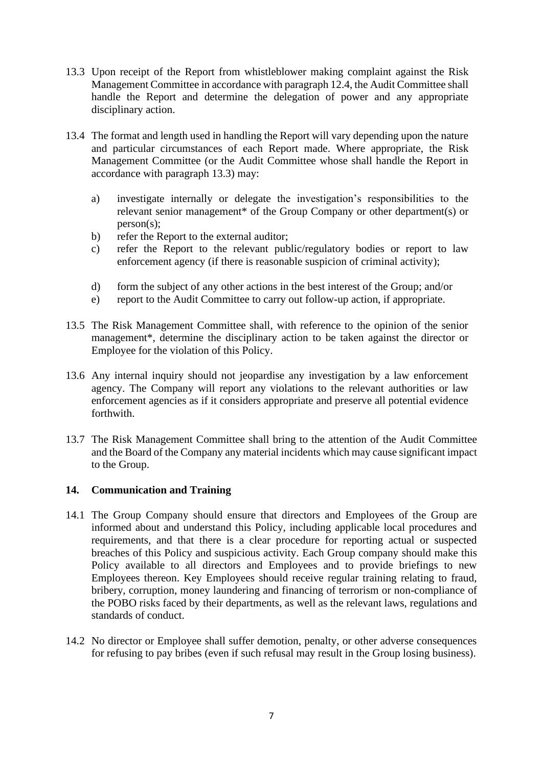- 13.3 Upon receipt of the Report from whistleblower making complaint against the Risk Management Committee in accordance with paragraph 12.4, the Audit Committee shall handle the Report and determine the delegation of power and any appropriate disciplinary action.
- 13.4 The format and length used in handling the Report will vary depending upon the nature and particular circumstances of each Report made. Where appropriate, the Risk Management Committee (or the Audit Committee whose shall handle the Report in accordance with paragraph 13.3) may:
	- a) investigate internally or delegate the investigation's responsibilities to the relevant senior management<sup>\*</sup> of the Group Company or other department(s) or person(s);
	- b) refer the Report to the external auditor;
	- c) refer the Report to the relevant public/regulatory bodies or report to law enforcement agency (if there is reasonable suspicion of criminal activity);
	- d) form the subject of any other actions in the best interest of the Group; and/or
	- e) report to the Audit Committee to carry out follow-up action, if appropriate.
- 13.5 The Risk Management Committee shall, with reference to the opinion of the senior management\*, determine the disciplinary action to be taken against the director or Employee for the violation of this Policy.
- 13.6 Any internal inquiry should not jeopardise any investigation by a law enforcement agency. The Company will report any violations to the relevant authorities or law enforcement agencies as if it considers appropriate and preserve all potential evidence forthwith.
- 13.7 The Risk Management Committee shall bring to the attention of the Audit Committee and the Board of the Company any material incidents which may cause significant impact to the Group.

#### **14. Communication and Training**

- 14.1 The Group Company should ensure that directors and Employees of the Group are informed about and understand this Policy, including applicable local procedures and requirements, and that there is a clear procedure for reporting actual or suspected breaches of this Policy and suspicious activity. Each Group company should make this Policy available to all directors and Employees and to provide briefings to new Employees thereon. Key Employees should receive regular training relating to fraud, bribery, corruption, money laundering and financing of terrorism or non-compliance of the POBO risks faced by their departments, as well as the relevant laws, regulations and standards of conduct.
- 14.2 No director or Employee shall suffer demotion, penalty, or other adverse consequences for refusing to pay bribes (even if such refusal may result in the Group losing business).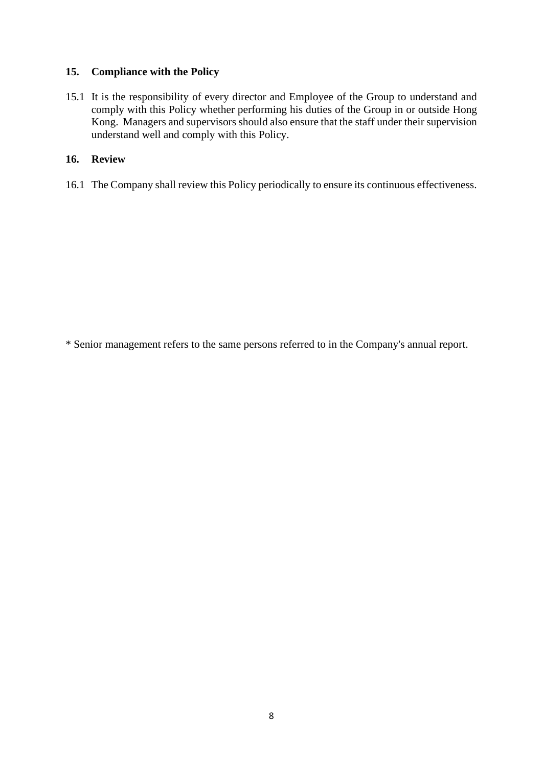## **15. Compliance with the Policy**

15.1 It is the responsibility of every director and Employee of the Group to understand and comply with this Policy whether performing his duties of the Group in or outside Hong Kong. Managers and supervisors should also ensure that the staff under their supervision understand well and comply with this Policy.

## **16. Review**

16.1 The Company shall review this Policy periodically to ensure its continuous effectiveness.

\* Senior management refers to the same persons referred to in the Company's annual report.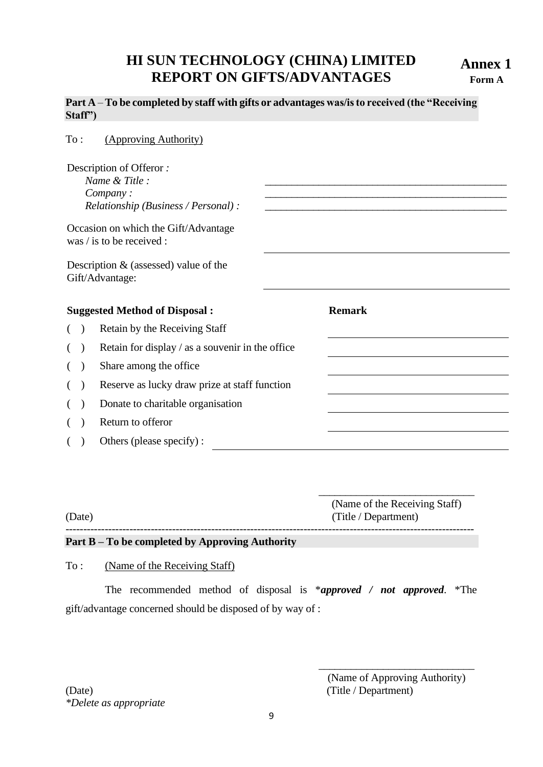# **HI SUN TECHNOLOGY (CHINA) LIMITED REPORT ON GIFTS/ADVANTAGES**

**Annex 1 Form A**

#### **Part A** – **To be completed by staff with gifts or advantages was/is to received (the "Receiving Staff")**

| $\mathrm{To}$ :                      |  | (Approving Authority)                                                                         |               |  |
|--------------------------------------|--|-----------------------------------------------------------------------------------------------|---------------|--|
|                                      |  | Description of Offeror:<br>Name & Title :<br>Company:<br>Relationship (Business / Personal) : |               |  |
|                                      |  | Occasion on which the Gift/Advantage<br>was $\ell$ is to be received :                        |               |  |
|                                      |  | Description $&$ (assessed) value of the<br>Gift/Advantage:                                    |               |  |
| <b>Suggested Method of Disposal:</b> |  |                                                                                               | <b>Remark</b> |  |
| $($ )                                |  | Retain by the Receiving Staff                                                                 |               |  |
| $\left($                             |  | Retain for display / as a souvenir in the office                                              |               |  |
| (                                    |  | Share among the office                                                                        |               |  |
| $($ )                                |  | Reserve as lucky draw prize at staff function                                                 |               |  |
| $\left($                             |  | Donate to charitable organisation                                                             |               |  |
|                                      |  | Return to offeror                                                                             |               |  |
| $\left($                             |  | Others (please specify):                                                                      |               |  |

(Name of the Receiving Staff) (Date) (Title / Department) -------------------------------------------------------------------------------------------------------------------

#### **Part B – To be completed by Approving Authority**

#### To : (Name of the Receiving Staff)

The recommended method of disposal is \**approved / not approved*. \*The gift/advantage concerned should be disposed of by way of :

(Date) (Title / Department) *\*Delete as appropriate*

\_\_\_\_\_\_\_\_\_\_\_\_\_\_\_\_\_\_\_\_\_\_\_\_\_\_\_\_\_

\_\_\_\_\_\_\_\_\_\_\_\_\_\_\_\_\_\_\_\_\_\_\_\_\_\_\_\_\_

<sup>(</sup>Name of Approving Authority)